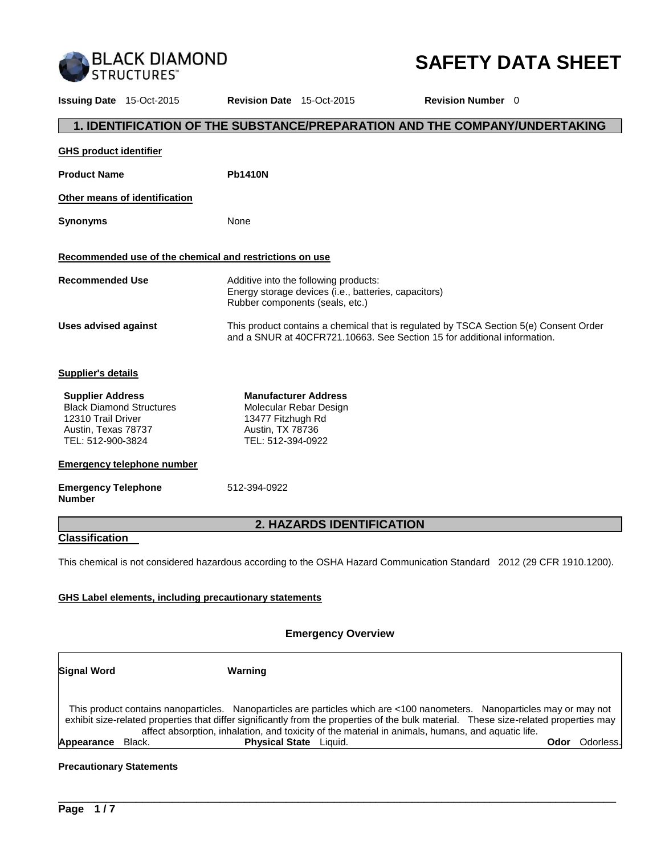

# **SAFETY DATA SHEET**

**Issuing Date** 15-Oct-2015 **Revision Date** 15-Oct-2015 **Revision Number** 0 **1. IDENTIFICATION OF THE SUBSTANCE/PREPARATION AND THE COMPANY/UNDERTAKING GHS product identifier** Product Name **Philadelphia Other means of identification Synonyms** None **Recommended use of the chemical and restrictions on use Recommended Use** Additive into the following products: Energy storage devices (i.e., batteries, capacitors) Rubber components (seals, etc.) **Uses advised against** This product contains a chemical that is regulated by TSCA Section 5(e) Consent Order and a SNUR at 40CFR721.10663. See Section 15 for additional information. **Supplier's details Supplier Address** Black Diamond Structures 12310 Trail Driver Austin, Texas 78737 TEL: 512-900-3824 **Manufacturer Address** Molecular Rebar Design 13477 Fitzhugh Rd Austin, TX 78736 TEL: 512-394-0922 **Emergency telephone number Emergency Telephone Number**  512-394-0922 **2. HAZARDS IDENTIFICATION Classification**  This chemical is not considered hazardous according to the OSHA Hazard Communication Standard 2012 (29 CFR 1910.1200). **GHS Label elements, including precautionary statements**

## **Emergency Overview**

| <b>Signal Word</b> |        | Warning                                                                                                                                                                                                                                                                                                                                                                |      |            |
|--------------------|--------|------------------------------------------------------------------------------------------------------------------------------------------------------------------------------------------------------------------------------------------------------------------------------------------------------------------------------------------------------------------------|------|------------|
|                    |        | This product contains nanoparticles. Nanoparticles are particles which are <100 nanometers. Nanoparticles may or may not<br>exhibit size-related properties that differ significantly from the properties of the bulk material. These size-related properties may<br>affect absorption, inhalation, and toxicity of the material in animals, humans, and aquatic life. |      |            |
| Appearance         | Black. | <b>Physical State</b> Liquid.                                                                                                                                                                                                                                                                                                                                          | Odor | Odorless.l |

\_\_\_\_\_\_\_\_\_\_\_\_\_\_\_\_\_\_\_\_\_\_\_\_\_\_\_\_\_\_\_\_\_\_\_\_\_\_\_\_\_\_\_\_\_\_\_\_\_\_\_\_\_\_\_\_\_\_\_\_\_\_\_\_\_\_\_\_\_\_\_\_\_\_\_\_\_\_\_\_\_\_\_\_\_\_\_\_\_\_\_\_\_

## **Precautionary Statements**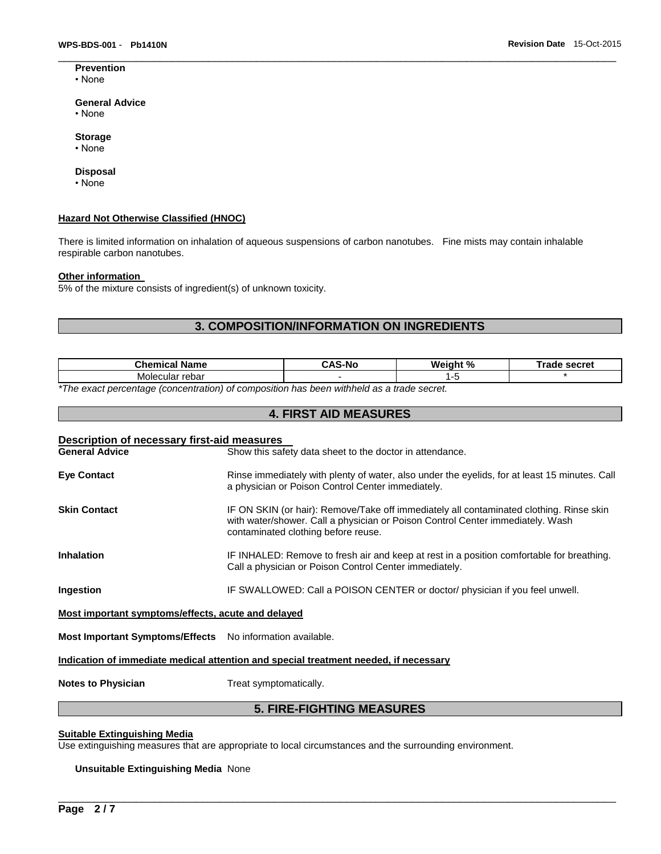#### **Prevention** • None

#### **General Advice**

- None
- **Storage**
- None

#### **Disposal**

• None

#### **Hazard Not Otherwise Classified (HNOC)**

There is limited information on inhalation of aqueous suspensions of carbon nanotubes. Fine mists may contain inhalable respirable carbon nanotubes.

#### **Other information**

5% of the mixture consists of ingredient(s) of unknown toxicity.

# **3. COMPOSITION/INFORMATION ON INGREDIENTS**

 $\Box$ 

| Phamiaal<br>alam -<br>ше | - -<br>-N1/ | Wai.<br>$\overline{a}$<br>7٥ | <b>CACTA</b><br>.<br>こいに |
|--------------------------|-------------|------------------------------|--------------------------|
| Moler<br>rebar<br>:ular  |             |                              |                          |
|                          |             |                              |                          |

**4. FIRST AID MEASURES** 

*\*The exact percentage (concentration) of composition has been withheld as a trade secret.* 

| Description of necessary first-aid measures                                          |                                                                                                                                                                                                                  |  |  |  |
|--------------------------------------------------------------------------------------|------------------------------------------------------------------------------------------------------------------------------------------------------------------------------------------------------------------|--|--|--|
| <b>General Advice</b>                                                                | Show this safety data sheet to the doctor in attendance.                                                                                                                                                         |  |  |  |
| <b>Eve Contact</b>                                                                   | Rinse immediately with plenty of water, also under the eyelids, for at least 15 minutes. Call<br>a physician or Poison Control Center immediately.                                                               |  |  |  |
| <b>Skin Contact</b>                                                                  | IF ON SKIN (or hair): Remove/Take off immediately all contaminated clothing. Rinse skin<br>with water/shower. Call a physician or Poison Control Center immediately. Wash<br>contaminated clothing before reuse. |  |  |  |
| <b>Inhalation</b>                                                                    | IF INHALED: Remove to fresh air and keep at rest in a position comfortable for breathing.<br>Call a physician or Poison Control Center immediately.                                                              |  |  |  |
| Ingestion                                                                            | IF SWALLOWED: Call a POISON CENTER or doctor/ physician if you feel unwell.                                                                                                                                      |  |  |  |
| Most important symptoms/effects, acute and delayed                                   |                                                                                                                                                                                                                  |  |  |  |
| Most Important Symptoms/Effects No information available.                            |                                                                                                                                                                                                                  |  |  |  |
| Indication of immediate medical attention and special treatment needed, if necessary |                                                                                                                                                                                                                  |  |  |  |

**Notes to Physician**  Treat symptomatically.

# **5. FIRE-FIGHTING MEASURES**

\_\_\_\_\_\_\_\_\_\_\_\_\_\_\_\_\_\_\_\_\_\_\_\_\_\_\_\_\_\_\_\_\_\_\_\_\_\_\_\_\_\_\_\_\_\_\_\_\_\_\_\_\_\_\_\_\_\_\_\_\_\_\_\_\_\_\_\_\_\_\_\_\_\_\_\_\_\_\_\_\_\_\_\_\_\_\_\_\_\_\_\_\_

## **Suitable Extinguishing Media**

Use extinguishing measures that are appropriate to local circumstances and the surrounding environment.

#### **Unsuitable Extinguishing Media** None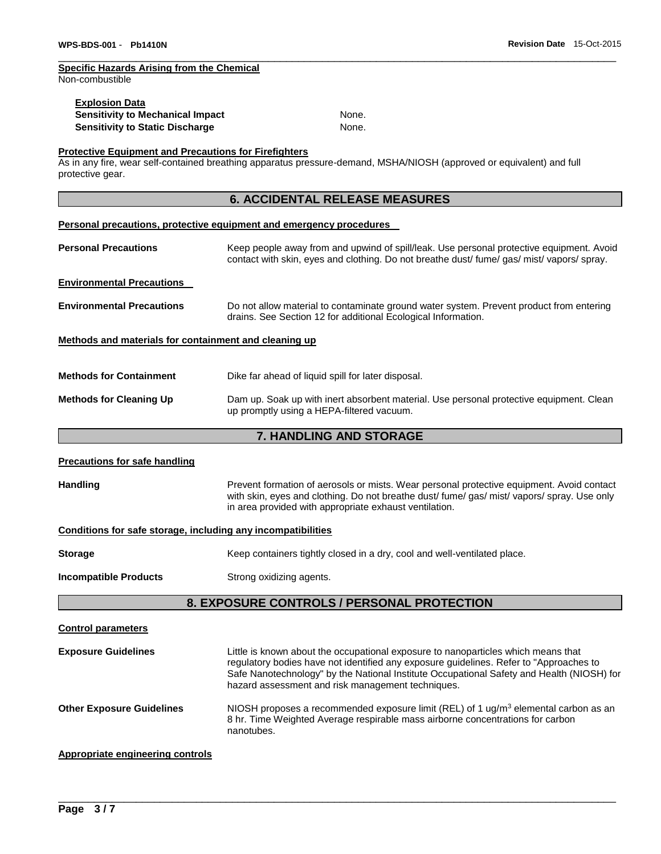# **Specific Hazards Arising from the Chemical**

Non-combustible

| <b>Explosion Data</b>            |       |
|----------------------------------|-------|
| Sensitivity to Mechanical Impact | None. |
| Sensitivity to Static Discharge  | None. |

 $\Box$ 

## **Protective Equipment and Precautions for Firefighters**

As in any fire, wear self-contained breathing apparatus pressure-demand, MSHA/NIOSH (approved or equivalent) and full protective gear.

# **6. ACCIDENTAL RELEASE MEASURES**

#### **Personal precautions, protective equipment and emergency procedures**

| <b>Personal Precautions</b>                           | Keep people away from and upwind of spill/leak. Use personal protective equipment. Avoid<br>contact with skin, eyes and clothing. Do not breathe dust fume gas mist vapors spray. |  |  |  |
|-------------------------------------------------------|-----------------------------------------------------------------------------------------------------------------------------------------------------------------------------------|--|--|--|
| <b>Environmental Precautions</b>                      |                                                                                                                                                                                   |  |  |  |
| <b>Environmental Precautions</b>                      | Do not allow material to contaminate ground water system. Prevent product from entering<br>drains. See Section 12 for additional Ecological Information.                          |  |  |  |
| Methods and materials for containment and cleaning up |                                                                                                                                                                                   |  |  |  |
| <b>Methods for Containment</b>                        | Dike far ahead of liquid spill for later disposal.                                                                                                                                |  |  |  |
| <b>Methods for Cleaning Up</b>                        | Dam up. Soak up with inert absorbent material. Use personal protective equipment. Clean<br>up promptly using a HEPA-filtered vacuum.                                              |  |  |  |

# **7. HANDLING AND STORAGE**

| <b>Precautions for safe handling</b>                                                                                                                                                                                                                                  |                                                                                                                                                                                                                                                                                                                               |  |  |  |
|-----------------------------------------------------------------------------------------------------------------------------------------------------------------------------------------------------------------------------------------------------------------------|-------------------------------------------------------------------------------------------------------------------------------------------------------------------------------------------------------------------------------------------------------------------------------------------------------------------------------|--|--|--|
| <b>Handling</b><br>Prevent formation of aerosols or mists. Wear personal protective equipment. Avoid contact<br>with skin, eyes and clothing. Do not breathe dust/ fume/ gas/ mist/ vapors/ spray. Use only<br>in area provided with appropriate exhaust ventilation. |                                                                                                                                                                                                                                                                                                                               |  |  |  |
| Conditions for safe storage, including any incompatibilities                                                                                                                                                                                                          |                                                                                                                                                                                                                                                                                                                               |  |  |  |
| Keep containers tightly closed in a dry, cool and well-ventilated place.<br><b>Storage</b>                                                                                                                                                                            |                                                                                                                                                                                                                                                                                                                               |  |  |  |
| <b>Incompatible Products</b><br>Strong oxidizing agents.                                                                                                                                                                                                              |                                                                                                                                                                                                                                                                                                                               |  |  |  |
| 8. EXPOSURE CONTROLS / PERSONAL PROTECTION                                                                                                                                                                                                                            |                                                                                                                                                                                                                                                                                                                               |  |  |  |
| <b>Control parameters</b>                                                                                                                                                                                                                                             |                                                                                                                                                                                                                                                                                                                               |  |  |  |
| <b>Exposure Guidelines</b>                                                                                                                                                                                                                                            | Little is known about the occupational exposure to nanoparticles which means that<br>regulatory bodies have not identified any exposure guidelines. Refer to "Approaches to<br>Safe Nanotechnology" by the National Institute Occupational Safety and Health (NIOSH) for<br>hazard assessment and risk management techniques. |  |  |  |
| <b>Other Exposure Guidelines</b>                                                                                                                                                                                                                                      | NIOSH proposes a recommended exposure limit (REL) of 1 $\mu$ g/m <sup>3</sup> elemental carbon as an<br>8 hr. Time Weighted Average respirable mass airborne concentrations for carbon<br>nanotubes.                                                                                                                          |  |  |  |
| <b>Appropriate engineering controls</b>                                                                                                                                                                                                                               |                                                                                                                                                                                                                                                                                                                               |  |  |  |

\_\_\_\_\_\_\_\_\_\_\_\_\_\_\_\_\_\_\_\_\_\_\_\_\_\_\_\_\_\_\_\_\_\_\_\_\_\_\_\_\_\_\_\_\_\_\_\_\_\_\_\_\_\_\_\_\_\_\_\_\_\_\_\_\_\_\_\_\_\_\_\_\_\_\_\_\_\_\_\_\_\_\_\_\_\_\_\_\_\_\_\_\_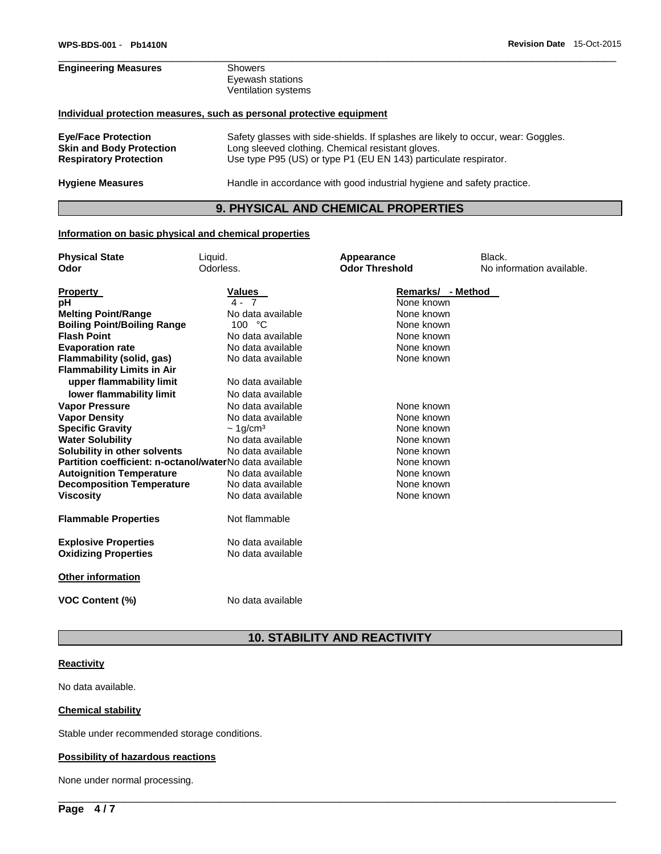# **Engineering Measures** Showers Eyewash stations Ventilation systems **Individual protection measures, such as personal protective equipment Eye/Face Protection** Safety glasses with side-shields. If splashes are likely to occur, wear: Goggles. Long sleeved clothing. Chemical resistant gloves. **Respiratory Protection** Use type P95 (US) or type P1 (EU EN 143) particulate respirator.

**Hygiene Measures** Handle in accordance with good industrial hygiene and safety practice.

## **9. PHYSICAL AND CHEMICAL PROPERTIES**

 $\Box$ 

#### **Information on basic physical and chemical properties**

| <b>Physical State</b>                                   | Liquid.                   | Appearance                      | Black.                    |
|---------------------------------------------------------|---------------------------|---------------------------------|---------------------------|
| Odor                                                    | Odorless.                 | <b>Odor Threshold</b>           | No information available. |
| <b>Property</b><br>рH                                   | <b>Values</b><br>$4 - 7$  | Remarks/ - Method<br>None known |                           |
| <b>Melting Point/Range</b>                              | No data available         | None known                      |                           |
| <b>Boiling Point/Boiling Range</b>                      | 100 °C                    | None known                      |                           |
| <b>Flash Point</b>                                      | No data available         | None known                      |                           |
| <b>Evaporation rate</b>                                 | No data available         | None known                      |                           |
| Flammability (solid, gas)                               | No data available         | None known                      |                           |
| <b>Flammability Limits in Air</b>                       |                           |                                 |                           |
| upper flammability limit                                | No data available         |                                 |                           |
| lower flammability limit                                | No data available         |                                 |                           |
| <b>Vapor Pressure</b>                                   | No data available         | None known                      |                           |
| <b>Vapor Density</b>                                    | No data available         | None known                      |                           |
| <b>Specific Gravity</b>                                 | $\sim$ 1g/cm <sup>3</sup> | None known                      |                           |
| <b>Water Solubility</b>                                 | No data available         | None known                      |                           |
| Solubility in other solvents                            | No data available         | None known                      |                           |
| Partition coefficient: n-octanol/waterNo data available |                           | None known                      |                           |
| <b>Autoignition Temperature</b>                         | No data available         | None known                      |                           |
| <b>Decomposition Temperature</b>                        | No data available         | None known                      |                           |
| <b>Viscosity</b>                                        | No data available         | None known                      |                           |
| <b>Flammable Properties</b>                             | Not flammable             |                                 |                           |
| <b>Explosive Properties</b>                             | No data available         |                                 |                           |
| <b>Oxidizing Properties</b>                             | No data available         |                                 |                           |
|                                                         |                           |                                 |                           |
| <b>Other information</b>                                |                           |                                 |                           |
| <b>VOC Content (%)</b>                                  | No data available         |                                 |                           |

# **10. STABILITY AND REACTIVITY**

\_\_\_\_\_\_\_\_\_\_\_\_\_\_\_\_\_\_\_\_\_\_\_\_\_\_\_\_\_\_\_\_\_\_\_\_\_\_\_\_\_\_\_\_\_\_\_\_\_\_\_\_\_\_\_\_\_\_\_\_\_\_\_\_\_\_\_\_\_\_\_\_\_\_\_\_\_\_\_\_\_\_\_\_\_\_\_\_\_\_\_\_\_

#### **Reactivity**

No data available.

#### **Chemical stability**

Stable under recommended storage conditions.

#### **Possibility of hazardous reactions**

None under normal processing.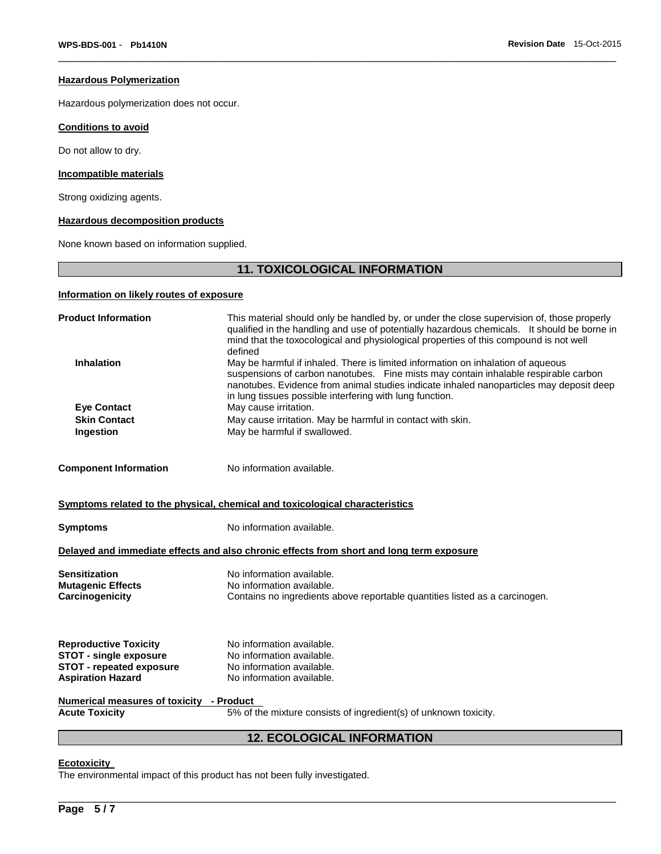#### **Hazardous Polymerization**

Hazardous polymerization does not occur.

## **Conditions to avoid**

Do not allow to dry.

## **Incompatible materials**

Strong oxidizing agents.

## **Hazardous decomposition products**

None known based on information supplied.

# **11. TOXICOLOGICAL INFORMATION**

 $\Box$ 

# **Information on likely routes of exposure**

| <b>Product Information</b><br>This material should only be handled by, or under the close supervision of, those properly<br>qualified in the handling and use of potentially hazardous chemicals. It should be borne in<br>mind that the toxocological and physiological properties of this compound is not well<br>defined                         |                                                                                          |  |  |  |
|-----------------------------------------------------------------------------------------------------------------------------------------------------------------------------------------------------------------------------------------------------------------------------------------------------------------------------------------------------|------------------------------------------------------------------------------------------|--|--|--|
| <b>Inhalation</b><br>May be harmful if inhaled. There is limited information on inhalation of aqueous<br>suspensions of carbon nanotubes. Fine mists may contain inhalable respirable carbon<br>nanotubes. Evidence from animal studies indicate inhaled nanoparticles may deposit deep<br>in lung tissues possible interfering with lung function. |                                                                                          |  |  |  |
| <b>Eye Contact</b>                                                                                                                                                                                                                                                                                                                                  | May cause irritation.                                                                    |  |  |  |
| <b>Skin Contact</b>                                                                                                                                                                                                                                                                                                                                 | May cause irritation. May be harmful in contact with skin.                               |  |  |  |
| Ingestion                                                                                                                                                                                                                                                                                                                                           | May be harmful if swallowed.                                                             |  |  |  |
| <b>Component Information</b>                                                                                                                                                                                                                                                                                                                        | No information available.                                                                |  |  |  |
|                                                                                                                                                                                                                                                                                                                                                     | Symptoms related to the physical, chemical and toxicological characteristics             |  |  |  |
| <b>Symptoms</b>                                                                                                                                                                                                                                                                                                                                     | No information available.                                                                |  |  |  |
|                                                                                                                                                                                                                                                                                                                                                     | Delayed and immediate effects and also chronic effects from short and long term exposure |  |  |  |
| <b>Sensitization</b>                                                                                                                                                                                                                                                                                                                                | No information available.                                                                |  |  |  |
| <b>Mutagenic Effects</b>                                                                                                                                                                                                                                                                                                                            | No information available.                                                                |  |  |  |
| Carcinogenicity                                                                                                                                                                                                                                                                                                                                     | Contains no ingredients above reportable quantities listed as a carcinogen.              |  |  |  |
| <b>Reproductive Toxicity</b>                                                                                                                                                                                                                                                                                                                        | No information available.                                                                |  |  |  |
| <b>STOT - single exposure</b>                                                                                                                                                                                                                                                                                                                       | No information available.                                                                |  |  |  |
| <b>STOT - repeated exposure</b>                                                                                                                                                                                                                                                                                                                     | No information available.                                                                |  |  |  |
| <b>Aspiration Hazard</b>                                                                                                                                                                                                                                                                                                                            | No information available.                                                                |  |  |  |
| Numerical measures of toxicity - Product                                                                                                                                                                                                                                                                                                            |                                                                                          |  |  |  |
| <b>Acute Toxicity</b>                                                                                                                                                                                                                                                                                                                               | 5% of the mixture consists of ingredient(s) of unknown toxicity.                         |  |  |  |
| <b>12. ECOLOGICAL INFORMATION</b>                                                                                                                                                                                                                                                                                                                   |                                                                                          |  |  |  |

\_\_\_\_\_\_\_\_\_\_\_\_\_\_\_\_\_\_\_\_\_\_\_\_\_\_\_\_\_\_\_\_\_\_\_\_\_\_\_\_\_\_\_\_\_\_\_\_\_\_\_\_\_\_\_\_\_\_\_\_\_\_\_\_\_\_\_\_\_\_\_\_\_\_\_\_\_\_\_\_\_\_\_\_\_\_\_\_\_\_\_\_\_

#### **Ecotoxicity**

The environmental impact of this product has not been fully investigated.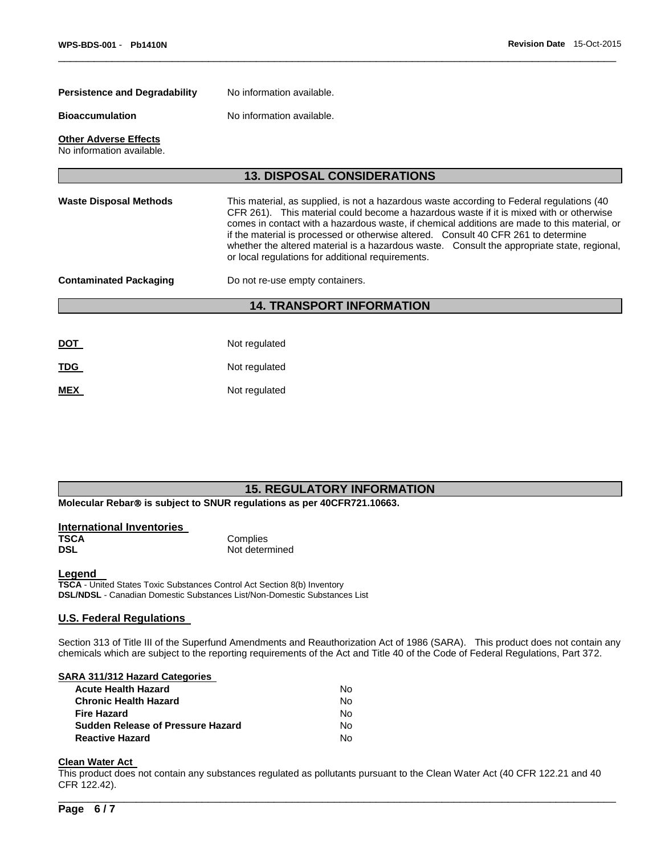| <b>Persistence and Degradability</b><br>No information available. |                                                                                                                                                                                                                                                                                                                                                                                                                                                                                                                                |  |  |  |  |
|-------------------------------------------------------------------|--------------------------------------------------------------------------------------------------------------------------------------------------------------------------------------------------------------------------------------------------------------------------------------------------------------------------------------------------------------------------------------------------------------------------------------------------------------------------------------------------------------------------------|--|--|--|--|
| <b>Bioaccumulation</b><br>No information available.               |                                                                                                                                                                                                                                                                                                                                                                                                                                                                                                                                |  |  |  |  |
| <b>Other Adverse Effects</b><br>No information available.         |                                                                                                                                                                                                                                                                                                                                                                                                                                                                                                                                |  |  |  |  |
|                                                                   | <b>13. DISPOSAL CONSIDERATIONS</b>                                                                                                                                                                                                                                                                                                                                                                                                                                                                                             |  |  |  |  |
| <b>Waste Disposal Methods</b>                                     | This material, as supplied, is not a hazardous waste according to Federal regulations (40<br>CFR 261). This material could become a hazardous waste if it is mixed with or otherwise<br>comes in contact with a hazardous waste, if chemical additions are made to this material, or<br>if the material is processed or otherwise altered. Consult 40 CFR 261 to determine<br>whether the altered material is a hazardous waste. Consult the appropriate state, regional,<br>or local regulations for additional requirements. |  |  |  |  |
| <b>Contaminated Packaging</b><br>Do not re-use empty containers.  |                                                                                                                                                                                                                                                                                                                                                                                                                                                                                                                                |  |  |  |  |
|                                                                   | <b>14. TRANSPORT INFORMATION</b>                                                                                                                                                                                                                                                                                                                                                                                                                                                                                               |  |  |  |  |
|                                                                   |                                                                                                                                                                                                                                                                                                                                                                                                                                                                                                                                |  |  |  |  |
| <u>DOT</u>                                                        | Not regulated                                                                                                                                                                                                                                                                                                                                                                                                                                                                                                                  |  |  |  |  |
| TDG                                                               | Not regulated                                                                                                                                                                                                                                                                                                                                                                                                                                                                                                                  |  |  |  |  |
| <b>MEX</b>                                                        | Not regulated                                                                                                                                                                                                                                                                                                                                                                                                                                                                                                                  |  |  |  |  |

 $\Box$ 

# **15. REGULATORY INFORMATION**

**Molecular Rebar<sup>®</sup> is subject to SNUR regulations as per 40CFR721.10663.** 

| International Inventories |                |
|---------------------------|----------------|
| TSCA                      | Complies       |
| <b>DSL</b>                | Not determined |

#### **Legend**

**TSCA** - United States Toxic Substances Control Act Section 8(b) Inventory **DSL/NDSL** - Canadian Domestic Substances List/Non-Domestic Substances List

## **U.S. Federal Regulations**

Section 313 of Title III of the Superfund Amendments and Reauthorization Act of 1986 (SARA). This product does not contain any chemicals which are subject to the reporting requirements of the Act and Title 40 of the Code of Federal Regulations, Part 372.

#### **SARA 311/312 Hazard Categories**

| No. |
|-----|
| N٥. |
| No. |
| No. |
| N٥. |
|     |

# **Clean Water Act**

This product does not contain any substances regulated as pollutants pursuant to the Clean Water Act (40 CFR 122.21 and 40 CFR 122.42).

\_\_\_\_\_\_\_\_\_\_\_\_\_\_\_\_\_\_\_\_\_\_\_\_\_\_\_\_\_\_\_\_\_\_\_\_\_\_\_\_\_\_\_\_\_\_\_\_\_\_\_\_\_\_\_\_\_\_\_\_\_\_\_\_\_\_\_\_\_\_\_\_\_\_\_\_\_\_\_\_\_\_\_\_\_\_\_\_\_\_\_\_\_